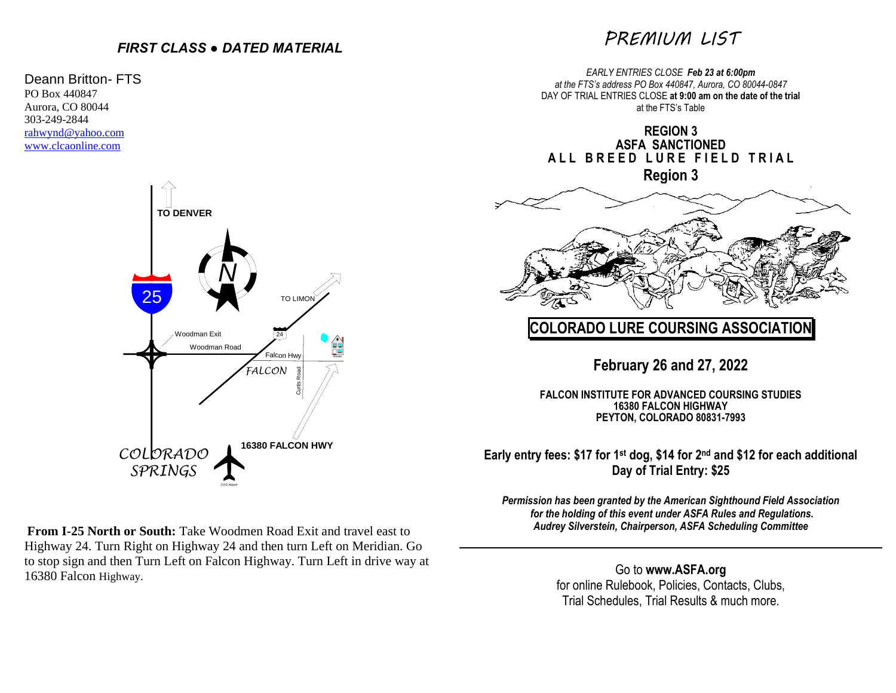# *FIRST CLASS ● DATED MATERIAL*

### Deann Britton- FTS PO Box 440847 Aurora, CO 80044 303-249-2844 [rahwynd@yahoo.com](mailto:rahwynd@yahoo.com) [www.clcaonline.com](http://www.clcaonline.com/)



**From I-25 North or South:** Take Woodmen Road Exit and travel east to Highway 24. Turn Right on Highway 24 and then turn Left on Meridian. Go to stop sign and then Turn Left on Falcon Highway. Turn Left in drive way at 16380 Falcon Highway.

# *PREMIUM LIST*

*EARLY ENTRIES CLOSE Feb 23 at 6:00pm at the FTS's address PO Box 440847, Aurora, CO 80044-0847* DAY OF TRIAL ENTRIES CLOSE **at 9:00 am on the date of the trial**  at the FTS's Table

**REGION 3 ASFA SANCTIONED ALL BREED LURE FIELD TRIAL Region 3**



# **COLORADO LURE COURSING ASSOCIATION**

**February 26 and 27, 2022**

**FALCON INSTITUTE FOR ADVANCED COURSING STUDIES 16380 FALCON HIGHWAY PEYTON, COLORADO 80831-7993**

**Early entry fees: \$17 for 1st dog, \$14 for 2nd and \$12 for each additional Day of Trial Entry: \$25**

*Permission has been granted by the American Sighthound Field Association for the holding of this event under ASFA Rules and Regulations. Audrey Silverstein, Chairperson, ASFA Scheduling Committee*

> Go to **[www.ASFA.org](http://www.asfa.org/)** for online Rulebook, Policies, Contacts, Clubs, Trial Schedules, Trial Results & much more.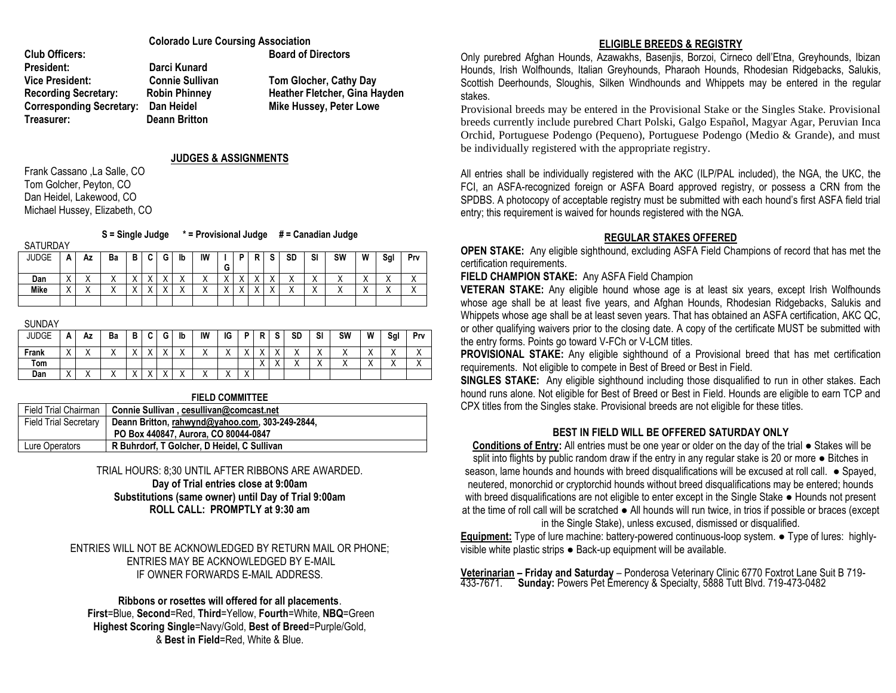|                                 | <b>Colorado Lure Coursing Association</b> |                               |  |  |  |
|---------------------------------|-------------------------------------------|-------------------------------|--|--|--|
| <b>Club Officers:</b>           |                                           | <b>Board of Directors</b>     |  |  |  |
| <b>President:</b>               | Darci Kunard                              |                               |  |  |  |
| <b>Vice President:</b>          | <b>Connie Sullivan</b>                    | Tom Glocher, Cathy Day        |  |  |  |
| <b>Recording Secretary:</b>     | <b>Robin Phinney</b>                      | Heather Fletcher, Gina Hayden |  |  |  |
| <b>Corresponding Secretary:</b> | Dan Heidel                                | Mike Hussey, Peter Lowe       |  |  |  |
| Treasurer:                      | Deann Britton                             |                               |  |  |  |

#### **JUDGES & ASSIGNMENTS**

Frank Cassano ,La Salle, CO Tom Golcher, Peyton, CO Dan Heidel, Lakewood, CO Michael Hussey, Elizabeth, CO

**S = Single Judge \* = Provisional Judge # = Canadian Judge**

SATURD JUDGE **A Az Ba B C G Ib IW I**

| JAY |  |  |  |  |  |  |                                                                                  |  |  |
|-----|--|--|--|--|--|--|----------------------------------------------------------------------------------|--|--|
|     |  |  |  |  |  |  | A   Az   Ba   B   C   G   Ib   IW   I   P   R   S   SD   SI   SW   W   SgI   Prv |  |  |

|      |          |           |         |                       |                          |                      |                |                           | $\sim$<br>u           |                                       |                         |                           |                                       |                                     |                                  |         |
|------|----------|-----------|---------|-----------------------|--------------------------|----------------------|----------------|---------------------------|-----------------------|---------------------------------------|-------------------------|---------------------------|---------------------------------------|-------------------------------------|----------------------------------|---------|
| Dan  | $\cdots$ | $\cdots$  |         | $\sqrt{}$<br>$\cdots$ | $\lambda$                | $\lambda$            | $\sqrt{}$<br>⌒ | $\mathbf{v}$<br>$\lambda$ | $\lambda$<br>$\cdots$ | $\sqrt{}$<br>$\overline{\phantom{a}}$ | $\sqrt{}$<br>$\sqrt{ }$ | $\sqrt{}$<br>$\lambda$    | $\sqrt{}$<br>$\overline{\phantom{a}}$ | $\cdot$<br>$\lambda$                | $\overline{\phantom{a}}$         |         |
| Mike | $\cdot$  | $\lambda$ | $\cdot$ | $\lambda$<br>$\cdots$ | $\overline{\phantom{a}}$ | $\cdot$<br>$\lambda$ | $\lambda$<br>⌒ | $\mathbf{v}$<br>$\lambda$ | $\lambda$<br>$\cdots$ | $\lambda$                             | $\sqrt{}$<br>$\sqrt{ }$ | $\mathbf{v}$<br>$\lambda$ | $\sqrt{}$<br>$\overline{\phantom{a}}$ | $\cdot$<br>$\overline{\phantom{a}}$ | $\ddot{\phantom{1}}$<br>$\cdots$ | $\cdot$ |
|      |          |           |         |                       |                          |                      |                |                           |                       |                                       |                         |                           |                                       |                                     |                                  |         |

**SUNDAY** 

| <b>JUDGE</b> | А                        | Αz                   | Ba | в       | $\ddot{\phantom{1}}$<br>u | G                    | lb | IW                   | IG           | D              | Ð                      | $\bullet$<br>o | SD | SI        | SW        | W                         | Sgl                  | Prv       |
|--------------|--------------------------|----------------------|----|---------|---------------------------|----------------------|----|----------------------|--------------|----------------|------------------------|----------------|----|-----------|-----------|---------------------------|----------------------|-----------|
| Frank        | $\overline{\phantom{a}}$ | $\lambda$            |    | 73      | v                         | v<br>$\cdot$ $\cdot$ |    | $\lambda$            | 73           | $\cdot$        | $\lambda$<br>$\lambda$ | $\cdot$        |    | $\cdots$  | $\lambda$ | $\mathbf{v}$<br>$\lambda$ | $\cdot$<br>$\lambda$ | $\lambda$ |
| Tom          |                          |                      |    |         |                           |                      |    |                      |              |                | $\lambda$<br>$\lambda$ | . .            |    | $\lambda$ |           | $\lambda$<br>$\lambda$    | $\cdot$<br>$\lambda$ | $\cdot$   |
| Dan          | $\cdots$                 | $\ddot{\phantom{1}}$ |    | $\cdot$ | $\cdot$                   | $\cdot$              |    | $\cdot$<br>$\lambda$ | $\cdot$<br>↗ | $\sqrt{}$<br>↗ |                        |                |    |           |           |                           |                      |           |

#### **FIELD COMMITTEE**

| Field Trial Chairman         | Connie Sullivan, cesullivan@comcast.net         |
|------------------------------|-------------------------------------------------|
| <b>Field Trial Secretary</b> | Deann Britton, rahwynd@yahoo.com, 303-249-2844, |
|                              | PO Box 440847, Aurora, CO 80044-0847            |
| Lure Operators               | R Buhrdorf, T Golcher, D Heidel, C Sullivan     |

### TRIAL HOURS: 8;30 UNTIL AFTER RIBBONS ARE AWARDED. **Day of Trial entries close at 9:00am Substitutions (same owner) until Day of Trial 9:00am ROLL CALL: PROMPTLY at 9:30 am**

ENTRIES WILL NOT BE ACKNOWLEDGED BY RETURN MAIL OR PHONE; ENTRIES MAY BE ACKNOWLEDGED BY E-MAIL IF OWNER FORWARDS E-MAIL ADDRESS.

### **Ribbons or rosettes will offered for all placements**.

**First**=Blue, **Second**=Red, **Third**=Yellow, **Fourth**=White, **NBQ**=Green **Highest Scoring Single**=Navy/Gold, **Best of Breed**=Purple/Gold, & **Best in Field**=Red, White & Blue.

### **ELIGIBLE BREEDS & REGISTRY**

Only purebred Afghan Hounds, Azawakhs, Basenjis, Borzoi, Cirneco dell'Etna, Greyhounds, Ibizan Hounds, Irish Wolfhounds, Italian Greyhounds, Pharaoh Hounds, Rhodesian Ridgebacks, Salukis, Scottish Deerhounds, Sloughis, Silken Windhounds and Whippets may be entered in the regular stakes.

Provisional breeds may be entered in the Provisional Stake or the Singles Stake. Provisional breeds currently include purebred Chart Polski, Galgo Español, Magyar Agar, Peruvian Inca Orchid, Portuguese Podengo (Pequeno), Portuguese Podengo (Medio & Grande), and must be individually registered with the appropriate registry.

All entries shall be individually registered with the AKC (ILP/PAL included), the NGA, the UKC, the FCI, an ASFA-recognized foreign or ASFA Board approved registry, or possess a CRN from the SPDBS. A photocopy of acceptable registry must be submitted with each hound's first ASFA field trial entry; this requirement is waived for hounds registered with the NGA.

## **REGULAR STAKES OFFERED**

**OPEN STAKE:** Any eligible sighthound, excluding ASFA Field Champions of record that has met the certification requirements.

**FIELD CHAMPION STAKE:** Any ASFA Field Champion

**VETERAN STAKE:** Any eligible hound whose age is at least six years, except Irish Wolfhounds whose age shall be at least five years, and Afghan Hounds, Rhodesian Ridgebacks, Salukis and Whippets whose age shall be at least seven years. That has obtained an ASFA certification, AKC QC, or other qualifying waivers prior to the closing date. A copy of the certificate MUST be submitted with the entry forms. Points go toward V-FCh or V-LCM titles.

**PROVISIONAL STAKE:** Any eligible sighthound of a Provisional breed that has met certification requirements. Not eligible to compete in Best of Breed or Best in Field.

**SINGLES STAKE:** Any eligible sighthound including those disqualified to run in other stakes. Each hound runs alone. Not eligible for Best of Breed or Best in Field. Hounds are eligible to earn TCP and CPX titles from the Singles stake. Provisional breeds are not eligible for these titles.

## **BEST IN FIELD WILL BE OFFERED SATURDAY ONLY**

**Conditions of Entry:** All entries must be one year or older on the day of the trial ● Stakes will be split into flights by public random draw if the entry in any regular stake is 20 or more • Bitches in season, lame hounds and hounds with breed disqualifications will be excused at roll call. • Spayed, neutered, monorchid or cryptorchid hounds without breed disqualifications may be entered; hounds with breed disqualifications are not eligible to enter except in the Single Stake ● Hounds not present at the time of roll call will be scratched ● All hounds will run twice, in trios if possible or braces (except in the Single Stake), unless excused, dismissed or disqualified.

**Equipment:** Type of lure machine: battery-powered continuous-loop system. ● Type of lures: highlyvisible white plastic strips ● Back-up equipment will be available.

**Veterinarian – Friday and Saturday** – Ponderosa Veterinary Clinic 6770 Foxtrot Lane Suit B 719- 433-7671. **Sunday:** Powers Pet Emerency & Specialty, 5888 Tutt Blvd. 719-473-0482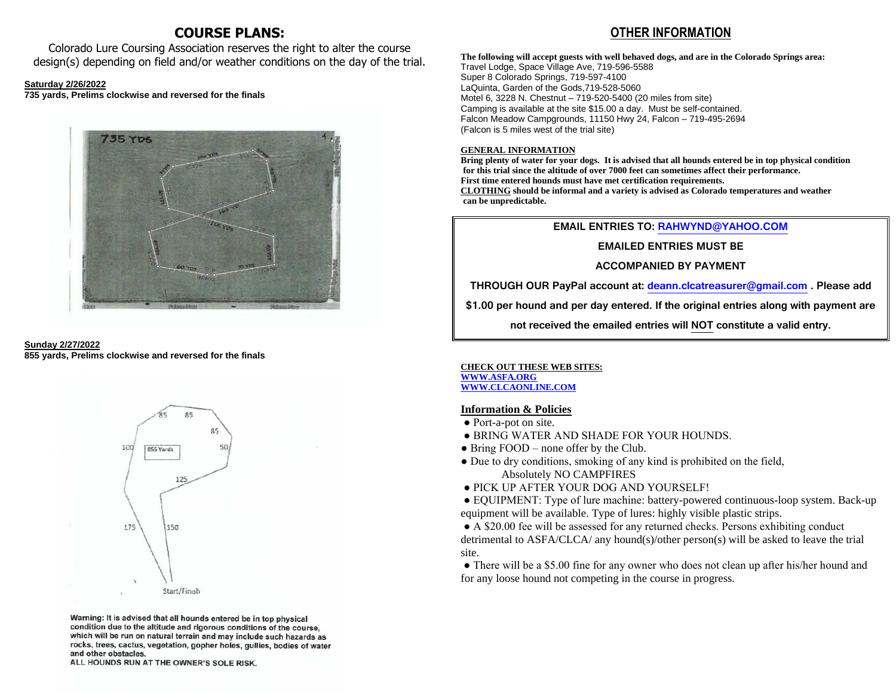# **COURSE PLANS:**

Colorado Lure Coursing Association reserves the right to alter the course design(s) depending on field and/or weather conditions on the day of the trial.

#### **Saturday 2/26/2022**

**735 yards, Prelims clockwise and reversed for the finals**







Warning: It is advised that all hounds entered be in top physical condition due to the altitude and rigorous conditions of the course, which will be run on natural terrain and may include such hazards as rocks, trees, cactus, vegetation, gopher holes, gullies, bodies of water and other obstacles.

ALL HOUNDS RUN AT THE OWNER'S SOLE RISK.

# **OTHER INFORMATION**

**The following will accept guests with well behaved dogs, and are in the Colorado Springs area:** Travel Lodge, Space Village Ave, 719-596-5588 Super 8 Colorado Springs, 719-597-4100 LaQuinta, Garden of the Gods,719-528-5060 Motel 6, 3228 N. Chestnut – 719-520-5400 (20 miles from site) Camping is available at the site \$15.00 a day. Must be self-contained. Falcon Meadow Campgrounds, 11150 Hwy 24, Falcon – 719-495-2694 (Falcon is 5 miles west of the trial site)

#### **GENERAL INFORMATION**

**Bring plenty of water for your dogs. It is advised that all hounds entered be in top physical condition for this trial since the altitude of over 7000 feet can sometimes affect their performance. First time entered hounds must have met certification requirements. CLOTHING should be informal and a variety is advised as Colorado temperatures and weather can be unpredictable.** 

#### **EMAIL ENTRIES TO: [RAHWYND@YAHOO.COM](mailto:RAHWYND@YAHOO.COM)**

**EMAILED ENTRIES MUST BE** 

### **ACCOMPANIED BY PAYMENT**

**THROUGH OUR PayPal account at: [deann.clcatreasurer@gmail.com](mailto:deann.clcatreasurer@gmail.com) . Please add** 

**\$1.00 per hound and per day entered. If the original entries along with payment are** 

**not received the emailed entries will NOT constitute a valid entry.**

**CHECK OUT THESE WEB SITES: [WWW.ASFA.ORG](http://www.asfa.org/) [WWW.CLCAONLINE.COM](http://www.clcaonline.com/)**

### **Information & Policies**

- Port-a-pot on site.
- BRING WATER AND SHADE FOR YOUR HOUNDS.
- Bring FOOD none offer by the Club.
- Due to dry conditions, smoking of any kind is prohibited on the field, Absolutely NO CAMPFIRES
- PICK UP AFTER YOUR DOG AND YOURSELF!
- EQUIPMENT: Type of lure machine: battery-powered continuous-loop system. Back-up equipment will be available. Type of lures: highly visible plastic strips.

● A \$20.00 fee will be assessed for any returned checks. Persons exhibiting conduct detrimental to ASFA/CLCA/ any hound(s)/other person(s) will be asked to leave the trial site.

• There will be a \$5.00 fine for any owner who does not clean up after his/her hound and for any loose hound not competing in the course in progress.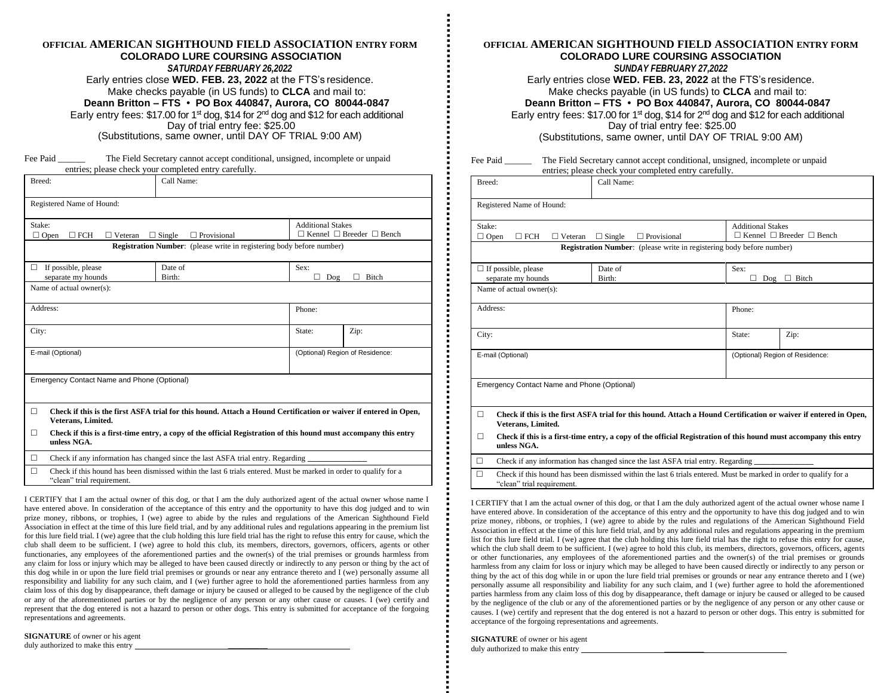#### **OFFICIAL AMERICAN SIGHTHOUND FIELD ASSOCIATION ENTRY FORM COLORADO LURE COURSING ASSOCIATION** *SATURDAY FEBRUARY 26,2022* Early entries close **WED. FEB. 23, 2022** at the FTS's residence. Make checks payable (in US funds) to **CLCA** and mail to: **Deann Britton – FTS • PO Box 440847, Aurora, CO 80044-0847** Early entry fees: \$17.00 for 1<sup>st</sup> dog, \$14 for 2<sup>nd</sup> dog and \$12 for each additional Day of trial entry fee: \$25.00 (Substitutions, same owner, until DAY OF TRIAL 9:00 AM)

Fee Paid \_\_\_\_\_\_\_ The Field Secretary cannot accept conditional, unsigned, incomplete or unpaid entries; please check your completed entry carefully.

|                                                | entries; please check your completed entry carefully.                                                             |                          |                                           |  |  |  |  |
|------------------------------------------------|-------------------------------------------------------------------------------------------------------------------|--------------------------|-------------------------------------------|--|--|--|--|
| Breed:                                         | Call Name:                                                                                                        |                          |                                           |  |  |  |  |
| Registered Name of Hound:                      |                                                                                                                   |                          |                                           |  |  |  |  |
| Stake:<br>$\Box$ Open<br>$\Box$ FCH            | $\Box$ Veteran<br>$\Box$ Single<br>$\Box$ Provisional                                                             | <b>Additional Stakes</b> | $\Box$ Kennel $\Box$ Breeder $\Box$ Bench |  |  |  |  |
|                                                | <b>Registration Number:</b> (please write in registering body before number)                                      |                          |                                           |  |  |  |  |
| If possible, please<br>□<br>separate my hounds | Date of<br>Birth:                                                                                                 | Sex:<br>п<br>Dog         | <b>Bitch</b>                              |  |  |  |  |
| Name of actual owner(s):                       |                                                                                                                   |                          |                                           |  |  |  |  |
| Address:                                       |                                                                                                                   | Phone:                   |                                           |  |  |  |  |
| City:                                          |                                                                                                                   | State:                   | Zip:                                      |  |  |  |  |
| E-mail (Optional)                              |                                                                                                                   |                          | (Optional) Region of Residence:           |  |  |  |  |
| Emergency Contact Name and Phone (Optional)    |                                                                                                                   |                          |                                           |  |  |  |  |
|                                                |                                                                                                                   |                          |                                           |  |  |  |  |
| П<br>Veterans, Limited.                        | Check if this is the first ASFA trial for this hound. Attach a Hound Certification or waiver if entered in Open,  |                          |                                           |  |  |  |  |
| □<br>unless NGA.                               | Check if this is a first-time entry, a copy of the official Registration of this hound must accompany this entry  |                          |                                           |  |  |  |  |
| П                                              | Check if any information has changed since the last ASFA trial entry. Regarding                                   |                          |                                           |  |  |  |  |
| П<br>"clean" trial requirement.                | Check if this hound has been dismissed within the last 6 trials entered. Must be marked in order to qualify for a |                          |                                           |  |  |  |  |

I CERTIFY that I am the actual owner of this dog, or that I am the duly authorized agent of the actual owner whose name I have entered above. In consideration of the acceptance of this entry and the opportunity to have this dog judged and to win prize money, ribbons, or trophies, I (we) agree to abide by the rules and regulations of the American Sighthound Field Association in effect at the time of this lure field trial, and by any additional rules and regulations appearing in the premium list for this lure field trial. I (we) agree that the club holding this lure field trial has the right to refuse this entry for cause, which the club shall deem to be sufficient. I (we) agree to hold this club, its members, directors, governors, officers, agents or other functionaries, any employees of the aforementioned parties and the owner(s) of the trial premises or grounds harmless from any claim for loss or injury which may be alleged to have been caused directly or indirectly to any person or thing by the act of this dog while in or upon the lure field trial premises or grounds or near any entrance thereto and I (we) personally assume all responsibility and liability for any such claim, and I (we) further agree to hold the aforementioned parties harmless from any claim loss of this dog by disappearance, theft damage or injury be caused or alleged to be caused by the negligence of the club or any of the aforementioned parties or by the negligence of any person or any other cause or causes. I (we) certify and represent that the dog entered is not a hazard to person or other dogs. This entry is submitted for acceptance of the forgoing representations and agreements.

**SIGNATURE** of owner or his agent duly authorized to make this entry \_\_\_\_\_\_\_\_\_\_

## **OFFICIAL AMERICAN SIGHTHOUND FIELD ASSOCIATION ENTRY FORM COLORADO LURE COURSING ASSOCIATION**

*SUNDAY FEBRUARY 27,2022*

Early entries close **WED. FEB. 23, 2022** at the FTS's residence. Make checks payable (in US funds) to **CLCA** and mail to:

**Deann Britton – FTS • PO Box 440847, Aurora, CO 80044-0847**

Early entry fees:  $$17.00$  for 1<sup>st</sup> dog,  $$14$  for  $2<sup>nd</sup>$  dog and  $$12$  for each additional Day of trial entry fee: \$25.00

(Substitutions, same owner, until DAY OF TRIAL 9:00 AM)

| Fee Paid                                              | The Field Secretary cannot accept conditional, unsigned, incomplete or unpaid<br>entries; please check your completed entry carefully. |                                 |                                           |  |  |  |
|-------------------------------------------------------|----------------------------------------------------------------------------------------------------------------------------------------|---------------------------------|-------------------------------------------|--|--|--|
| Breed:                                                | Call Name:                                                                                                                             |                                 |                                           |  |  |  |
| Registered Name of Hound:                             |                                                                                                                                        |                                 |                                           |  |  |  |
| Stake:<br>$\Box$ FCH<br>$\Box$ Veteran<br>$\Box$ Open | $\Box$ Provisional<br>$\Box$ Single                                                                                                    | <b>Additional Stakes</b>        | $\Box$ Kennel $\Box$ Breeder $\Box$ Bench |  |  |  |
|                                                       | <b>Registration Number:</b> (please write in registering body before number)                                                           |                                 |                                           |  |  |  |
| $\Box$ If possible, please<br>separate my hounds      | Date of<br>Birth:                                                                                                                      | Sex:<br>$\Box$ Bitch<br>Dog     |                                           |  |  |  |
| Name of actual owner(s):                              |                                                                                                                                        |                                 |                                           |  |  |  |
| Address:                                              |                                                                                                                                        | Phone:                          |                                           |  |  |  |
| City:                                                 |                                                                                                                                        | State:                          | Zip:                                      |  |  |  |
| E-mail (Optional)                                     |                                                                                                                                        | (Optional) Region of Residence: |                                           |  |  |  |
| Emergency Contact Name and Phone (Optional)           |                                                                                                                                        |                                 |                                           |  |  |  |
| $\Box$<br>Veterans, Limited.                          | Check if this is the first ASFA trial for this hound. Attach a Hound Certification or waiver if entered in Open,                       |                                 |                                           |  |  |  |
| $\Box$<br>unless NGA.                                 | Check if this is a first-time entry, a copy of the official Registration of this hound must accompany this entry                       |                                 |                                           |  |  |  |
| п                                                     | Check if any information has changed since the last ASFA trial entry. Regarding                                                        |                                 |                                           |  |  |  |
| $\Box$<br>"clean" trial requirement.                  | Check if this hound has been dismissed within the last 6 trials entered. Must be marked in order to qualify for a                      |                                 |                                           |  |  |  |

I CERTIFY that I am the actual owner of this dog, or that I am the duly authorized agent of the actual owner whose name I have entered above. In consideration of the acceptance of this entry and the opportunity to have this dog judged and to win prize money, ribbons, or trophies, I (we) agree to abide by the rules and regulations of the American Sighthound Field Association in effect at the time of this lure field trial, and by any additional rules and regulations appearing in the premium list for this lure field trial. I (we) agree that the club holding this lure field trial has the right to refuse this entry for cause, which the club shall deem to be sufficient. I (we) agree to hold this club, its members, directors, governors, officers, agents or other functionaries, any employees of the aforementioned parties and the owner(s) of the trial premises or grounds harmless from any claim for loss or injury which may be alleged to have been caused directly or indirectly to any person or thing by the act of this dog while in or upon the lure field trial premises or grounds or near any entrance thereto and I (we) personally assume all responsibility and liability for any such claim, and I (we) further agree to hold the aforementioned parties harmless from any claim loss of this dog by disappearance, theft damage or injury be caused or alleged to be caused by the negligence of the club or any of the aforementioned parties or by the negligence of any person or any other cause or causes. I (we) certify and represent that the dog entered is not a hazard to person or other dogs. This entry is submitted for acceptance of the forgoing representations and agreements.

**SIGNATURE** of owner or his agent duly authorized to make this entry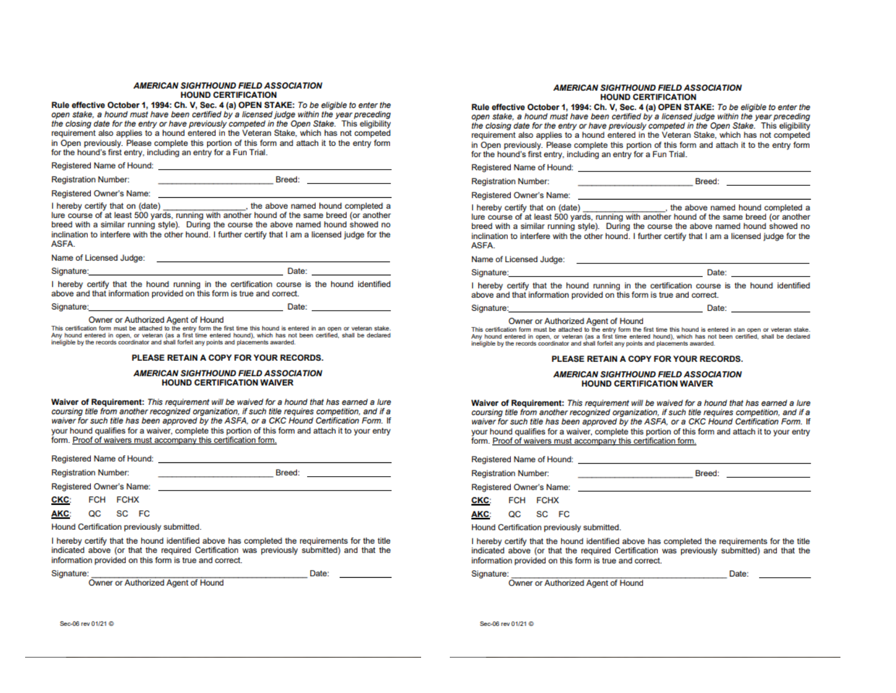#### **AMERICAN SIGHTHOUND FIELD ASSOCIATION HOUND CERTIFICATION**

Rule effective October 1, 1994; Ch. V. Sec. 4 (a) OPEN STAKE: To be eligible to enter the open stake, a hound must have been certified by a licensed judge within the year preceding the closing date for the entry or have previously competed in the Open Stake. This eligibility requirement also applies to a hound entered in the Veteran Stake, which has not competed in Open previously. Please complete this portion of this form and attach it to the entry form for the hound's first entry, including an entry for a Fun Trial.

| Registered Name of Hound:   |               |  |
|-----------------------------|---------------|--|
| <b>Registration Number:</b> | <b>Breed:</b> |  |
| Registered Owner's Name:    |               |  |

\_, the above named hound completed a I hereby certify that on (date) lure course of at least 500 yards, running with another hound of the same breed (or another breed with a similar running style). During the course the above named hound showed no inclination to interfere with the other hound. I further certify that I am a licensed judge for the ASFA.

| Name of Licensed Judge:                                                                            |       |  |
|----------------------------------------------------------------------------------------------------|-------|--|
| Signature:                                                                                         | Date: |  |
| il bassadar samitti ibad iba barrand samatan in iba samittagilan sarrang in iba barrand idanititas |       |  |

I hereby certify that the hound running in the certification course is the hound identified above and that information provided on this form is true and correct.

| Signature: |  |
|------------|--|
|            |  |
|            |  |

Owner or Authorized Agent of Hound

This certification form must be attached to the entry form the first time this hound is entered in an open or veteran stake. Any hound entered in open, or veteran (as a first time entered hound), which has not been certified, shall be declared ineligible by the records coordinator and shall forfeit any points and placements awarded.

#### PLEASE RETAIN A COPY FOR YOUR RECORDS.

#### **AMERICAN SIGHTHOUND FIELD ASSOCIATION HOUND CERTIFICATION WAIVER**

Waiver of Requirement: This requirement will be waived for a hound that has earned a lure coursing title from another recognized organization, if such title requires competition, and if a waiver for such title has been approved by the ASFA, or a CKC Hound Certification Form. If your hound qualifies for a waiver, complete this portion of this form and attach it to your entry form. Proof of waivers must accompany this certification form.

Breed: **Executive Service** 

Date:

| Registered Name of Hound: |  |  |
|---------------------------|--|--|
|                           |  |  |

**Registration Number:** 

Registered Owner's Name:

**CKC:** FCH FCHX

AKC: QC SC FC

Hound Certification previously submitted.

I hereby certify that the hound identified above has completed the requirements for the title indicated above (or that the required Certification was previously submitted) and that the information provided on this form is true and correct.

Signature:

Owner or Authorized Agent of Hound

#### **AMERICAN SIGHTHOUND FIELD ASSOCIATION HOUND CERTIFICATION**

Rule effective October 1, 1994; Ch. V. Sec. 4 (a) OPEN STAKE: To be eligible to enter the open stake, a hound must have been certified by a licensed judge within the year preceding the closing date for the entry or have previously competed in the Open Stake. This eligibility requirement also applies to a hound entered in the Veteran Stake, which has not competed in Open previously. Please complete this portion of this form and attach it to the entry form for the hound's first entry, including an entry for a Fun Trial.

| Registered Name of Hound: |  |  |
|---------------------------|--|--|
|---------------------------|--|--|

**Registration Number:** 

Registered Owner's Name:

the above named hound completed a I hereby certify that on (date) lure course of at least 500 vards, running with another hound of the same breed (or another breed with a similar running style). During the course the above named hound showed no inclination to interfere with the other hound. I further certify that I am a licensed judge for the **ASFA** 

Breed: **Example** 

Date:

**Exercise Date:** 

Name of Licensed Judge:<br>
Mame of Licensed Judge:

Signature:

I hereby certify that the hound running in the certification course is the hound identified above and that information provided on this form is true and correct.

Signature:

Owner or Authorized Agent of Hound

This certification form must be attached to the entry form the first time this hound is entered in an open or veteran stake. Any hound entered in open, or veteran (as a first time entered hound), which has not been certified, shall be declared ineligible by the records coordinator and shall forfeit any points and placements awarded.

#### PLEASE RETAIN A COPY FOR YOUR RECORDS.

#### **AMERICAN SIGHTHOUND FIELD ASSOCIATION HOUND CERTIFICATION WAIVER**

Waiver of Requirement: This requirement will be waived for a hound that has earned a lure coursing title from another recognized organization, if such title requires competition, and if a waiver for such title has been approved by the ASFA, or a CKC Hound Certification Form. If vour hound qualifies for a waiver, complete this portion of this form and attach it to your entry form. Proof of waivers must accompany this certification form.

|            |                             |                          | Registered Name of Hound: Name of Hounds                    |  |
|------------|-----------------------------|--------------------------|-------------------------------------------------------------|--|
|            | <b>Registration Number:</b> |                          | Breed:<br>the property of the control of the control of the |  |
|            |                             | Registered Owner's Name: | <u> 1989 - John Stein, Amerikaansk politiker (</u>          |  |
|            | CKC: FCH FCHX               |                          |                                                             |  |
| <b>AKC</b> |                             | OC SC FC                 |                                                             |  |

Hound Certification previously submitted.

I hereby certify that the hound identified above has completed the requirements for the title indicated above (or that the required Certification was previously submitted) and that the information provided on this form is true and correct.

|  |  | Signature: |  |  |  |
|--|--|------------|--|--|--|
|  |  |            |  |  |  |
|  |  |            |  |  |  |
|  |  |            |  |  |  |

Date:

Owner or Authorized Agent of Hound

Sec.06 rev 01/21 @

Sec-06 rev 01/21 @